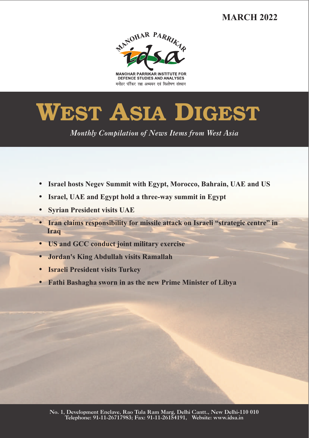# **MARCH 2022**



**MANOHAR PARRIKAR INSTITUTE FOR** DEFENCE STUDIES AND ANALYSES मनोहर पर्रिकर रक्षा अध्ययन एवं विश्लेषण संस्थान

# **WEST ASIA DIGEST**

*Monthly Compilation of News Items from West Asia* 

- ??**Israel hosts Negev Summit with Egypt, Morocco, Bahrain, UAE and US**
- ?**Israel, UAE and Egypt hold a three-way summit in Egypt**
- 
- ?**Syrian President visits UAE Iran claims responsibility for missile attack on Israeli "strategic centre" in**
- **Iraq**<br>• **US** and GC
- ?**US and GCC conduct joint military exercise** ?**Jordan's King Abdullah visits Ramallah**
- ?**Israeli President visits Turkey**
- **Fathi Bashagha sworn in as the new Prime Minister of Libya**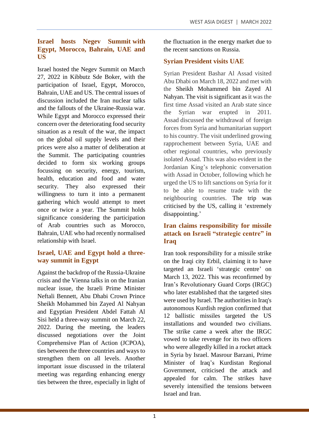#### **Israel hosts Negev Summit with Egypt, Morocco, Bahrain, UAE and US**

Israel hosted the Negev Summit on March 27, 2022 in Kibbutz Sde Boker, with the participation of Israel, Egypt, Morocco, Bahrain, UAE and US. The central issues of discussion included the Iran nuclear talks and the fallouts of the Ukraine-Russia war. While Egypt and Morocco expressed their concern over the deteriorating food security situation as a result of the war, the impact on the global oil supply levels and their prices were also a matter of deliberation at the Summit. The participating countries decided to form six working groups focussing on security, energy, tourism, health, education and food and water security. They also expressed their willingness to turn it into a permanent gathering which would attempt to meet once or twice a year. The Summit holds significance considering the participation of Arab countries such as Morocco, Bahrain, UAE who had recently normalised relationship with Israel.

### **Israel, UAE and Egypt hold a threeway summit in Egypt**

Against the backdrop of the Russia-Ukraine crisis and the Vienna talks in on the Iranian nuclear issue, the Israeli Prime Minister Neftali Bennett, Abu Dhabi Crown Prince Sheikh Mohammed bin Zayed Al Nahyan and Egyptian President Abdel Fattah Al Sisi held a three-way summit on March 22, 2022. During the meeting, the leaders discussed negotiations over the Joint Comprehensive Plan of Action (JCPOA), ties between the three countries and ways to strengthen them on all levels. Another important issue discussed in the trilateral meeting was regarding enhancing energy ties between the three, especially in light of the fluctuation in the energy market due to the recent sanctions on Russia.

# **Syrian President visits UAE**

Syrian President Bashar Al Assad visited Abu Dhabi on March 18, 2022 and met with the Sheikh Mohammed bin Zayed Al Nahyan. The visit is significant as it was the first time Assad visited an Arab state since the Syrian war erupted in 2011. Assad discussed the withdrawal of foreign forces from Syria and humanitarian support to his country. The visit underlined growing rapprochement between Syria, UAE and other regional countries, who previously isolated Assad. This was also evident in the Jordanian King's telephonic conversation with Assad in October, following which he urged the US to lift sanctions on Syria for it to be able to resume trade with the neighbouring countries. The trip was criticised by the US, calling it 'extremely disappointing.'

### **Iran claims responsibility for missile attack on Israeli "strategic centre" in Iraq**

Iran took responsibility for a missile strike on the Iraqi city Erbil, claiming it to have targeted an Israeli 'strategic centre' on March 13, 2022. This was reconfirmed by Iran's Revolutionary Guard Corps (IRGC) who later established that the targeted sites were used by Israel. The authorities in Iraq's autonomous Kurdish region confirmed that 12 ballistic missiles targeted the US installations and wounded two civilians. The strike came a week after the IRGC vowed to take revenge for its two officers who were allegedly killed in a rocket attack in Syria by Israel. Masrour Barzani, Prime Minister of Iraq's Kurdistan Regional Government, criticised the attack and appealed for calm. The strikes have severely intensified the tensions between Israel and Iran.